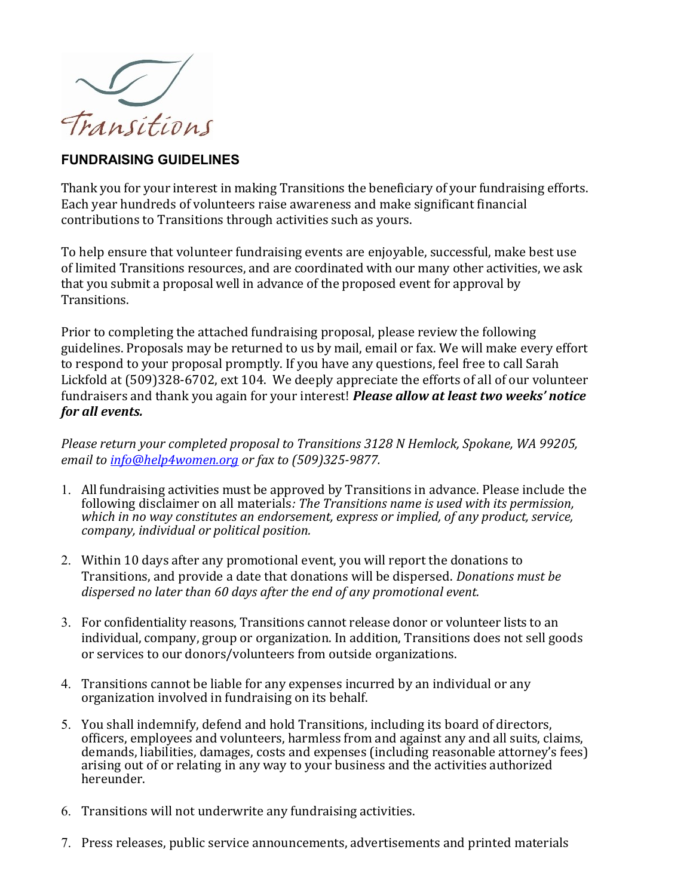

## FUNDRAISING GUIDELINES

Thank you for your interest in making Transitions the beneficiary of your fundraising efforts. Each year hundreds of volunteers raise awareness and make significant financial contributions to Transitions through activities such as yours.

To help ensure that volunteer fundraising events are enjoyable, successful, make best use of limited Transitions resources, and are coordinated with our many other activities, we ask that you submit a proposal well in advance of the proposed event for approval by Transitions.

Prior to completing the attached fundraising proposal, please review the following guidelines. Proposals may be returned to us by mail, email or fax. We will make every effort to respond to your proposal promptly. If you have any questions, feel free to call Sarah Lickfold at (509)328-6702, ext 104. We deeply appreciate the efforts of all of our volunteer fundraisers and thank you again for your interest! *Please allow at least two weeks' notice* for all events.

Please return your completed proposal to Transitions 3128 N Hemlock, Spokane, WA 99205, email to info@help4women.org or fax to (509)325-9877.

- 1. All fundraising activities must be approved by Transitions in advance. Please include the following disclaimer on all materials: The Transitions name is used with its permission, which in no way constitutes an endorsement, express or implied, of any product, service, company, individual or political position.
- 2. Within 10 days after any promotional event, you will report the donations to Transitions, and provide a date that donations will be dispersed. Donations must be dispersed no later than 60 days after the end of any promotional event.
- 3. For confidentiality reasons, Transitions cannot release donor or volunteer lists to an individual, company, group or organization. In addition, Transitions does not sell goods or services to our donors/volunteers from outside organizations.
- 4. Transitions cannot be liable for any expenses incurred by an individual or any organization involved in fundraising on its behalf.
- 5. You shall indemnify, defend and hold Transitions, including its board of directors, officers, employees and volunteers, harmless from and against any and all suits, claims, demands, liabilities, damages, costs and expenses (including reasonable attorney's fees) arising out of or relating in any way to your business and the activities authorized hereunder.
- 6. Transitions will not underwrite any fundraising activities.
- 7. Press releases, public service announcements, advertisements and printed materials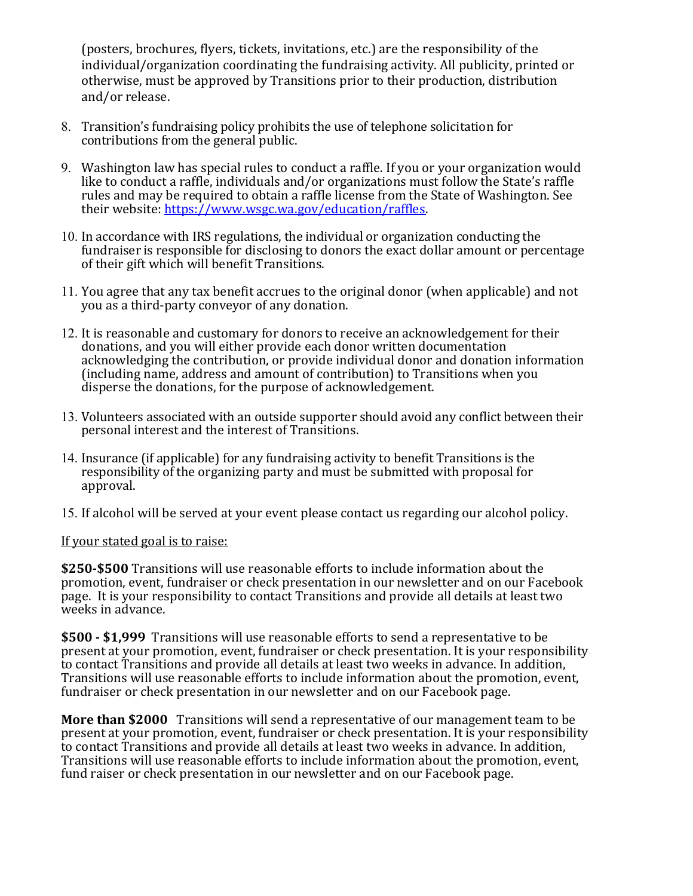(posters, brochures, flyers, tickets, invitations, etc.) are the responsibility of the individual/organization coordinating the fundraising activity. All publicity, printed or otherwise, must be approved by Transitions prior to their production, distribution and/or release.

- 8. Transition's fundraising policy prohibits the use of telephone solicitation for contributions from the general public.
- 9. Washington law has special rules to conduct a raffle. If you or your organization would like to conduct a raffle, individuals and/or organizations must follow the State's raffle rules and may be required to obtain a raffle license from the State of Washington. See their website: https://www.wsgc.wa.gov/education/raffles.
- 10. In accordance with IRS regulations, the individual or organization conducting the fundraiser is responsible for disclosing to donors the exact dollar amount or percentage of their gift which will benefit Transitions.
- 11. You agree that any tax benefit accrues to the original donor (when applicable) and not you as a third-party conveyor of any donation.
- 12. It is reasonable and customary for donors to receive an acknowledgement for their donations, and you will either provide each donor written documentation acknowledging the contribution, or provide individual donor and donation information (including name, address and amount of contribution) to Transitions when you disperse the donations, for the purpose of acknowledgement.
- 13. Volunteers associated with an outside supporter should avoid any conflict between their personal interest and the interest of Transitions.
- 14. Insurance (if applicable) for any fundraising activity to benefit Transitions is the responsibility of the organizing party and must be submitted with proposal for approval.
- 15. If alcohol will be served at your event please contact us regarding our alcohol policy.

## If your stated goal is to raise:

\$250-\$500 Transitions will use reasonable efforts to include information about the promotion, event, fundraiser or check presentation in our newsletter and on our Facebook page. It is your responsibility to contact Transitions and provide all details at least two weeks in advance.

\$500 - \$1,999 Transitions will use reasonable efforts to send a representative to be present at your promotion, event, fundraiser or check presentation. It is your responsibility to contact Transitions and provide all details at least two weeks in advance. In addition, Transitions will use reasonable efforts to include information about the promotion, event, fundraiser or check presentation in our newsletter and on our Facebook page.

More than \$2000 Transitions will send a representative of our management team to be present at your promotion, event, fundraiser or check presentation. It is your responsibility to contact Transitions and provide all details at least two weeks in advance. In addition, Transitions will use reasonable efforts to include information about the promotion, event, fund raiser or check presentation in our newsletter and on our Facebook page.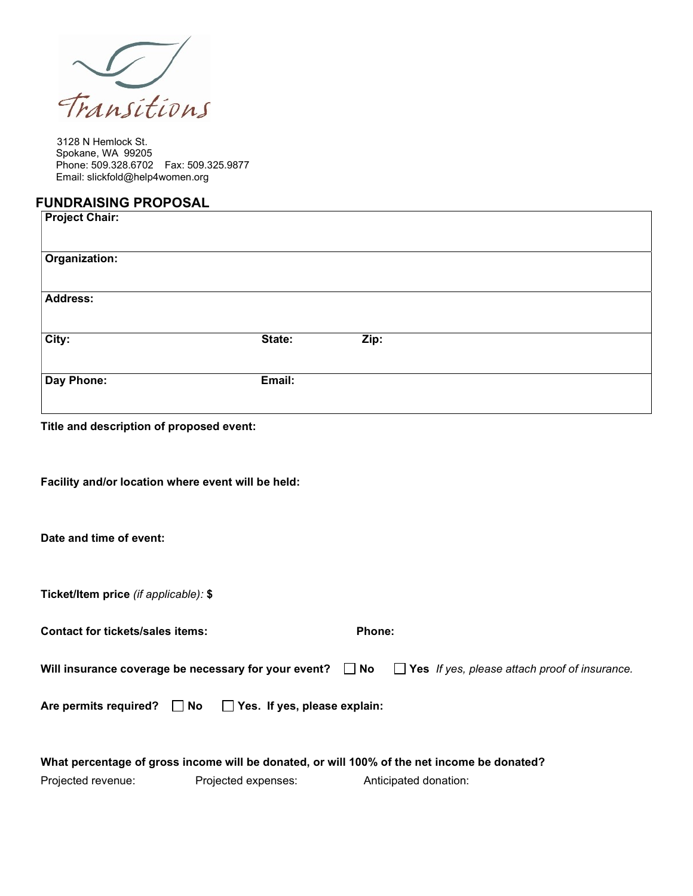

3128 N Hemlock St. Spokane, WA 99205 Phone: 509.328.6702 Fax: 509.325.9877 Email: slickfold@help4women.org

## FUNDRAISING PROPOSAL

| <b>Project Chair:</b> |        |      |  |
|-----------------------|--------|------|--|
| Organization:         |        |      |  |
| <b>Address:</b>       |        |      |  |
| City:                 | State: | Zip: |  |
| Day Phone:            | Email: |      |  |
|                       |        |      |  |

Title and description of proposed event:

Facility and/or location where event will be held:

Date and time of event:

Ticket/Item price (if applicable): \$

| <b>Contact for tickets/sales items:</b>                             | Phone: |                                                                                                                     |
|---------------------------------------------------------------------|--------|---------------------------------------------------------------------------------------------------------------------|
|                                                                     |        | Will insurance coverage be necessary for your event? $\Box$ No $\Box$ Yes If yes, please attach proof of insurance. |
| Are permits required? $\Box$ No $\Box$ Yes. If yes, please explain: |        |                                                                                                                     |
|                                                                     |        |                                                                                                                     |

|                    |                     | What percentage of gross income will be donated, or will 100% of the net income be donated? |
|--------------------|---------------------|---------------------------------------------------------------------------------------------|
| Projected revenue: | Projected expenses: | Anticipated donation:                                                                       |